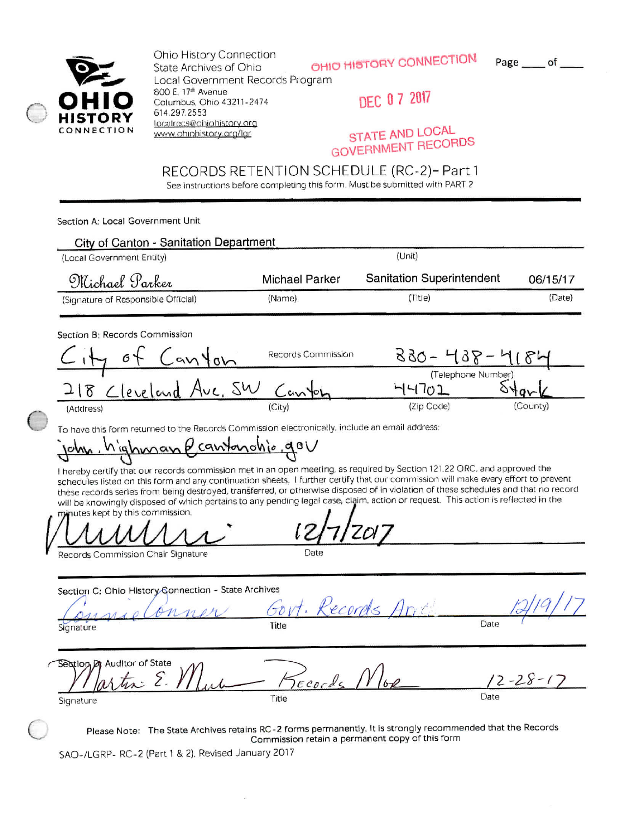

Ohio History Connection State Archives of Ohio Local Government Records Program 800 E. 17th Avenue Columbus, Ohio 43211-2474 614.297.2553 localrecs@ohiohistory.org www.ohighistory.org/lar

OHIO HISTORY CONNECTION

Page \_\_\_\_ of \_\_

DEC 07 2017

STATE AND LOCAL **GOVERNMENT RECORDS** 

## RECORDS RETENTION SCHEDULE (RC-2)- Part 1

See instructions before completing this form. Must be submitted with PART 2

Section A: Local Government Unit

| <b>City of Canton - Sanitation Department</b>                                                                                                                                                                                                                                                                                                                                                                                                                                                                                                                                                                                                                                                                                                                  |                                                 |                                       |                       |
|----------------------------------------------------------------------------------------------------------------------------------------------------------------------------------------------------------------------------------------------------------------------------------------------------------------------------------------------------------------------------------------------------------------------------------------------------------------------------------------------------------------------------------------------------------------------------------------------------------------------------------------------------------------------------------------------------------------------------------------------------------------|-------------------------------------------------|---------------------------------------|-----------------------|
| (Local Government Entity)                                                                                                                                                                                                                                                                                                                                                                                                                                                                                                                                                                                                                                                                                                                                      |                                                 | (Unit)                                |                       |
| Michael Parker                                                                                                                                                                                                                                                                                                                                                                                                                                                                                                                                                                                                                                                                                                                                                 | <b>Michael Parker</b>                           | <b>Sanitation Superintendent</b>      | 06/15/17              |
| (Signature of Responsible Official)                                                                                                                                                                                                                                                                                                                                                                                                                                                                                                                                                                                                                                                                                                                            | (Name)                                          | (Title)                               | (Date)                |
| Section B: Records Commission<br>$66 +$ Canton                                                                                                                                                                                                                                                                                                                                                                                                                                                                                                                                                                                                                                                                                                                 | Records Commission                              | 830 - 438 - 418<br>(Telephone Number) |                       |
| 218 Cleveland Ave, SW Canton                                                                                                                                                                                                                                                                                                                                                                                                                                                                                                                                                                                                                                                                                                                                   |                                                 | 44702                                 |                       |
|                                                                                                                                                                                                                                                                                                                                                                                                                                                                                                                                                                                                                                                                                                                                                                |                                                 | (Zip Code)                            | (County)              |
| To have this form returned to the Records Commission electronically, include an email address:<br><u>john. highman ecantonohio qov</u><br>I hereby certify that our records commission met in an open meeting, as required by Section 121.22 ORC, and approved the<br>schedules listed on this form and any continuation sheets. I further certify that our commission will make every effort to prevent<br>these records series from being destroyed, transferred, or otherwise disposed of in violation of these schedules and that no record<br>will be knowingly disposed of which pertains to any pending legal case, claim, action or request. This action is reflected in the<br>minutes kept by this commission.<br>Records Commission Chair Signature |                                                 |                                       |                       |
| Section C: Ohio History Gonnection - State Archives<br>onner<br>Signature                                                                                                                                                                                                                                                                                                                                                                                                                                                                                                                                                                                                                                                                                      | Govt. Records And                               |                                       | Date                  |
| Section Of Auditor of State<br>$lartx \in \mathcal{Y}$<br>Signature                                                                                                                                                                                                                                                                                                                                                                                                                                                                                                                                                                                                                                                                                            | Records N<br>Title                              |                                       | $2 - 28 - 17$<br>Date |
| Please Note: The State Archives retains RC-2 forms permanently, It is strongly recommended that the Records                                                                                                                                                                                                                                                                                                                                                                                                                                                                                                                                                                                                                                                    | Commission retain a permanent copy of this form |                                       |                       |

SAO-/LGRP- RC-2 (Part 1 & 2). Revised January 2017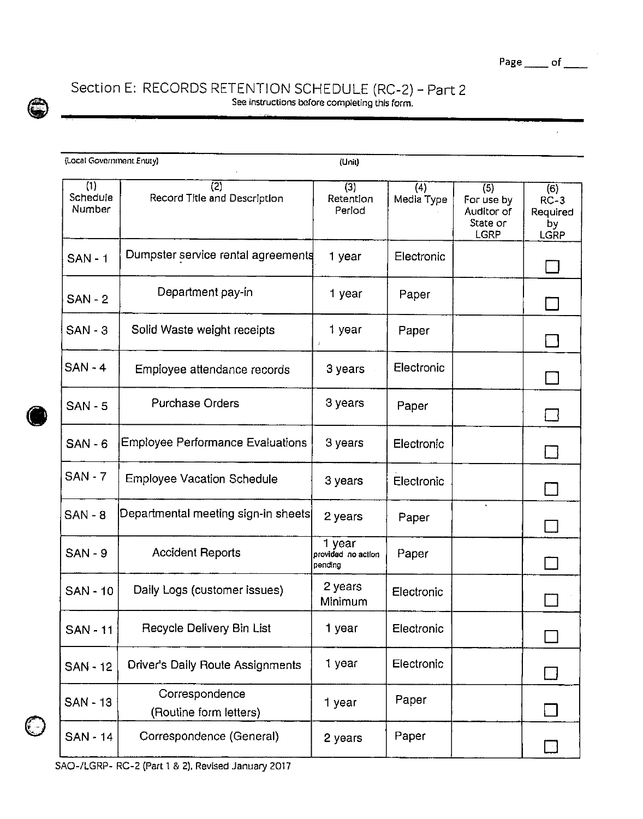

## Section E: RECORDS RETENTION SCHEDULE (RC-2) - Part 2 See instructions before completing thls forni.

| (Local Government Entity) |                                          | (Unit)                                  |                   |                                                     |                                         |
|---------------------------|------------------------------------------|-----------------------------------------|-------------------|-----------------------------------------------------|-----------------------------------------|
| (1)<br>Schedule<br>Number | (2)<br>Record Title and Description      | (3)<br>Retention<br>Period              | (4)<br>Media Type | (5)<br>For use by<br>Auditor of<br>State or<br>LGRP | (6)<br>$RC-3$<br>Required<br>bу<br>LGRP |
| <b>SAN - 1</b>            | Dumpster service rental agreements       | 1 year                                  | Electronic        |                                                     |                                         |
| $SAN - 2$                 | Department pay-in                        | 1 year                                  | Paper             |                                                     |                                         |
| $SAN - 3$                 | Solid Waste weight receipts              | 1 year<br>1                             | Paper             |                                                     |                                         |
| $SAN - 4$                 | Employee attendance records              | 3 years                                 | Electronic        |                                                     |                                         |
| <b>SAN - 5</b>            | <b>Purchase Orders</b>                   | 3 years                                 | Paper             |                                                     |                                         |
| $SAN - 6$                 | <b>Employee Performance Evaluations</b>  | 3 years                                 | Electronic        |                                                     | $\Box$                                  |
| <b>SAN - 7</b>            | <b>Employee Vacation Schedule</b>        | 3 years                                 | Electronic        |                                                     |                                         |
| $SAN - 8$                 | Departmental meeting sign-in sheets      | 2 years                                 | Paper             |                                                     |                                         |
| <b>SAN - 9</b>            | <b>Accident Reports</b>                  | 1 year<br>provided no action<br>pending | Paper             |                                                     |                                         |
| <b>SAN - 10</b>           | Daily Logs (customer issues)             | 2 years<br>Minimum                      | Electronic        |                                                     |                                         |
| <b>SAN-11</b>             | Recycle Delivery Bin List                | 1 year                                  | Electronic        |                                                     |                                         |
| <b>SAN - 12</b>           | <b>Driver's Daily Route Assignments</b>  | 1 year                                  | Electronic        |                                                     | $\Box$                                  |
| SAN - 13                  | Correspondence<br>(Routine form letters) | 1 year                                  | Paper             |                                                     |                                         |
| <b>SAN - 14</b>           | Correspondence (General)                 | 2 years                                 | Paper             |                                                     |                                         |

C

SAO-/LGRP-RC-2 (Part 1 & 2). Revised January 2017